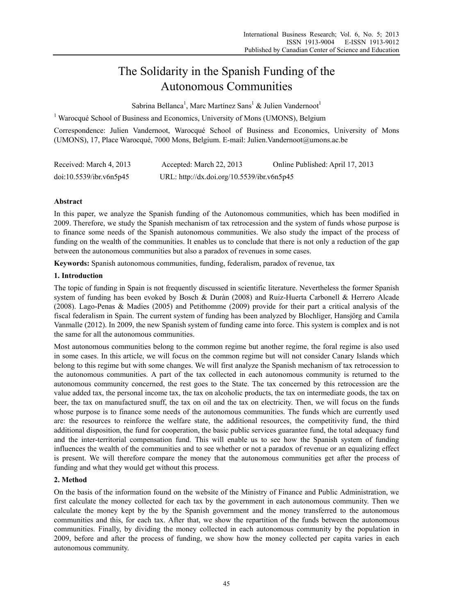# The Solidarity in the Spanish Funding of the Autonomous Communities

Sabrina Bellanca<sup>1</sup>, Marc Martínez Sans<sup>1</sup> & Julien Vandernoot<sup>1</sup>

<sup>1</sup> Warocqué School of Business and Economics, University of Mons (UMONS), Belgium

Correspondence: Julien Vandernoot, Warocqué School of Business and Economics, University of Mons (UMONS), 17, Place Warocqué, 7000 Mons, Belgium. E-mail: Julien.Vandernoot@umons.ac.be

| Received: March 4, 2013 | Accepted: March 22, 2013                   | Online Published: April 17, 2013 |
|-------------------------|--------------------------------------------|----------------------------------|
| doi:10.5539/ibr.v6n5p45 | URL: http://dx.doi.org/10.5539/ibr.v6n5p45 |                                  |

# **Abstract**

In this paper, we analyze the Spanish funding of the Autonomous communities, which has been modified in 2009. Therefore, we study the Spanish mechanism of tax retrocession and the system of funds whose purpose is to finance some needs of the Spanish autonomous communities. We also study the impact of the process of funding on the wealth of the communities. It enables us to conclude that there is not only a reduction of the gap between the autonomous communities but also a paradox of revenues in some cases.

**Keywords:** Spanish autonomous communities, funding, federalism, paradox of revenue, tax

# **1. Introduction**

The topic of funding in Spain is not frequently discussed in scientific literature. Nevertheless the former Spanish system of funding has been evoked by Bosch & Duràn (2008) and Ruiz-Huerta Carbonell & Herrero Alcade (2008). Lago-Penas & Madies (2005) and Petithomme (2009) provide for their part a critical analysis of the fiscal federalism in Spain. The current system of funding has been analyzed by Blochliger, Hansjörg and Camila Vanmalle (2012). In 2009, the new Spanish system of funding came into force. This system is complex and is not the same for all the autonomous communities.

Most autonomous communities belong to the common regime but another regime, the foral regime is also used in some cases. In this article, we will focus on the common regime but will not consider Canary Islands which belong to this regime but with some changes. We will first analyze the Spanish mechanism of tax retrocession to the autonomous communities. A part of the tax collected in each autonomous community is returned to the autonomous community concerned, the rest goes to the State. The tax concerned by this retrocession are the value added tax, the personal income tax, the tax on alcoholic products, the tax on intermediate goods, the tax on beer, the tax on manufactured snuff, the tax on oil and the tax on electricity. Then, we will focus on the funds whose purpose is to finance some needs of the autonomous communities. The funds which are currently used are: the resources to reinforce the welfare state, the additional resources, the competitivity fund, the third additional disposition, the fund for cooperation, the basic public services guarantee fund, the total adequacy fund and the inter-territorial compensation fund. This will enable us to see how the Spanish system of funding influences the wealth of the communities and to see whether or not a paradox of revenue or an equalizing effect is present. We will therefore compare the money that the autonomous communities get after the process of funding and what they would get without this process.

# **2. Method**

On the basis of the information found on the website of the Ministry of Finance and Public Administration, we first calculate the money collected for each tax by the government in each autonomous community. Then we calculate the money kept by the by the Spanish government and the money transferred to the autonomous communities and this, for each tax. After that, we show the repartition of the funds between the autonomous communities. Finally, by dividing the money collected in each autonomous community by the population in 2009, before and after the process of funding, we show how the money collected per capita varies in each autonomous community.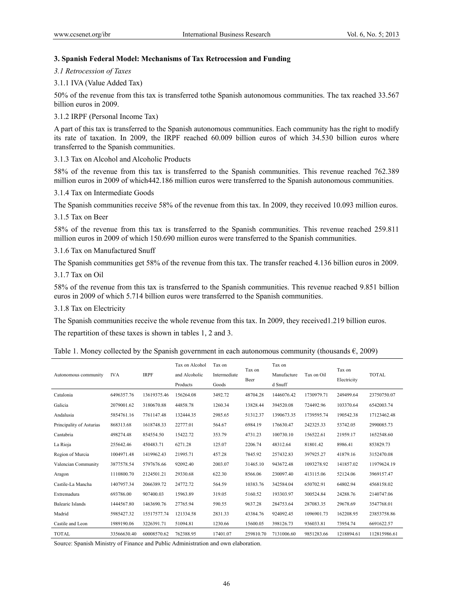# **3. Spanish Federal Model: Mechanisms of Tax Retrocession and Funding**

*3.1 Retrocession of Taxes* 

3.1.1 IVA (Value Added Tax)

50% of the revenue from this tax is transferred tothe Spanish autonomous communities. The tax reached 33.567 billion euros in 2009.

3.1.2 IRPF (Personal Income Tax)

A part of this tax is transferred to the Spanish autonomous communities. Each community has the right to modify its rate of taxation. In 2009, the IRPF reached 60.009 billion euros of which 34.530 billion euros where transferred to the Spanish communities.

3.1.3 Tax on Alcohol and Alcoholic Products

58% of the revenue from this tax is transferred to the Spanish communities. This revenue reached 762.389 million euros in 2009 of which442.186 million euros were transferred to the Spanish autonomous communities.

3.1.4 Tax on Intermediate Goods

The Spanish communities receive 58% of the revenue from this tax. In 2009, they received 10.093 million euros.

### 3.1.5 Tax on Beer

58% of the revenue from this tax is transferred to the Spanish communities. This revenue reached 259.811 million euros in 2009 of which 150.690 million euros were transferred to the Spanish communities.

3.1.6 Tax on Manufactured Snuff

The Spanish communities get 58% of the revenue from this tax. The transfer reached 4.136 billion euros in 2009.

3.1.7 Tax on Oil

58% of the revenue from this tax is transferred to the Spanish communities. This revenue reached 9.851 billion euros in 2009 of which 5.714 billion euros were transferred to the Spanish communities.

### 3.1.8 Tax on Electricity

The Spanish communities receive the whole revenue from this tax. In 2009, they received1.219 billion euros.

The repartition of these taxes is shown in tables 1, 2 and 3.

| Autonomous community     | <b>IVA</b>  | <b>IRPF</b> | Tax on Alcohol<br>and Alcoholic<br>Products | Tax on<br>Intermediate<br>Goods | Tax on<br>Beer | Tax on<br>Manufacture<br>d Snuff | Tax on Oil | Tax on<br>Electricity | <b>TOTAL</b> |
|--------------------------|-------------|-------------|---------------------------------------------|---------------------------------|----------------|----------------------------------|------------|-----------------------|--------------|
| Catalonia                | 6496357.76  | 13619375.46 | 156264.08                                   | 3492.72                         | 48704.28       | 1446076.42                       | 1730979.71 | 249499.64             | 23750750.07  |
| Galicia                  | 2079001.62  | 3180670.88  | 44858.78                                    | 1260.34                         | 13828.44       | 394520.08                        | 724492.96  | 103370.64             | 6542003.74   |
| Andalusia                | 5854761.16  | 7761147.48  | 132444.35                                   | 2985.65                         | 51312.37       | 1390673.35                       | 1739595.74 | 190542.38             | 17123462.48  |
| Principality of Asturias | 868313.68   | 1618748.33  | 22777.01                                    | 564.67                          | 6984.19        | 176630.47                        | 242325.33  | 53742.05              | 2990085.73   |
| Cantabria                | 498274.48   | 854554.50   | 15422.72                                    | 353.79                          | 4731.23        | 100730.10                        | 156522.61  | 21959.17              | 1652548.60   |
| La Rioja                 | 255642.46   | 450483.71   | 6271.28                                     | 125.07                          | 2206.74        | 48312.64                         | 81801.42   | 8986.41               | 853829.73    |
| Region of Murcia         | 1004971.48  | 1419962.43  | 21995.71                                    | 457.28                          | 7845.92        | 257432.83                        | 397925.27  | 41879.16              | 3152470.08   |
| Valencian Community      | 3877578.54  | 5797676.66  | 92092.40                                    | 2003.07                         | 31465.10       | 943672.48                        | 1093278.92 | 141857.02             | 11979624.19  |
| Aragon                   | 1110800.70  | 2124501.21  | 29330.68                                    | 622.30                          | 8566.06        | 230097.40                        | 413115.06  | 52124.06              | 3969157.47   |
| Castile-La Mancha        | 1407957.34  | 2066389.72  | 24772.72                                    | 564.59                          | 10383.76       | 342584.04                        | 650702.91  | 64802.94              | 4568158.02   |
| Extremadura              | 693786.00   | 907400.03   | 15963.89                                    | 319.05                          | 5160.52        | 193303.97                        | 300524.84  | 24288.76              | 2140747.06   |
| <b>Balearic Islands</b>  | 1444567.80  | 1463690.76  | 27765.94                                    | 590.55                          | 9637.28        | 284753.64                        | 287083.35  | 29678.69              | 3547768.01   |
| Madrid                   | 5985427.32  | 15517577.74 | 121334.58                                   | 2831.33                         | 43384.76       | 924092.45                        | 1096901.73 | 162208.95             | 23853758.86  |
| Castile and Leon         | 1989190.06  | 3226391.71  | 51094.81                                    | 1230.66                         | 15600.05       | 398126.73                        | 936033.81  | 73954.74              | 6691622.57   |
| <b>TOTAL</b>             | 33566630.40 | 60008570.62 | 762388.95                                   | 17401.07                        | 259810.70      | 7131006.60                       | 9851283.66 | 1218894.61            | 112815986.61 |

Table 1. Money collected by the Spanish government in each autonomous community (thousands  $\epsilon$ , 2009)

Source: Spanish Ministry of Finance and Public Administration and own elaboration.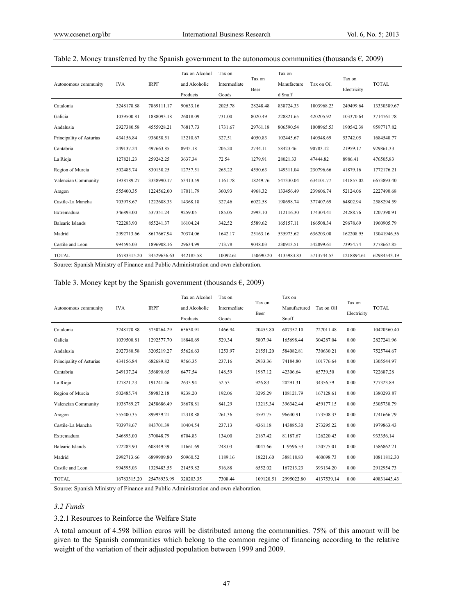| Autonomous community     | <b>IVA</b>  | <b>IRPF</b> | Tax on Alcohol<br>and Alcoholic<br>Products | Tax on<br>Intermediate<br>Goods | Tax on<br>Beer | Tax on<br>Manufacture<br>d Snuff | Tax on Oil | Tax on<br>Electricity | <b>TOTAL</b> |
|--------------------------|-------------|-------------|---------------------------------------------|---------------------------------|----------------|----------------------------------|------------|-----------------------|--------------|
| Catalonia                | 3248178.88  | 7869111.17  | 90633.16                                    | 2025.78                         | 28248.48       | 838724.33                        | 1003968.23 | 249499.64             | 13330389.67  |
| Galicia                  | 1039500.81  | 1888093.18  | 26018.09                                    | 731.00                          | 8020.49        | 228821.65                        | 420205.92  | 103370.64             | 3714761.78   |
| Andalusia                | 2927380.58  | 4555928.21  | 76817.73                                    | 1731.67                         | 29761.18       | 806590.54                        | 1008965.53 | 190542.38             | 9597717.82   |
| Principality of Asturias | 434156.84   | 936058.51   | 13210.67                                    | 327.51                          | 4050.83        | 102445.67                        | 140548.69  | 53742.05              | 1684540.77   |
| Cantabria                | 249137.24   | 497663.85   | 8945.18                                     | 205.20                          | 2744.11        | 58423.46                         | 90783.12   | 21959.17              | 929861.33    |
| La Rioja                 | 127821.23   | 259242.25   | 3637.34                                     | 72.54                           | 1279.91        | 28021.33                         | 47444.82   | 8986.41               | 476505.83    |
| Region of Murcia         | 502485.74   | 830130.25   | 12757.51                                    | 265.22                          | 4550.63        | 149311.04                        | 230796.66  | 41879.16              | 1772176.21   |
| Valencian Community      | 1938789.27  | 3338990.17  | 53413.59                                    | 1161.78                         | 18249.76       | 547330.04                        | 634101.77  | 141857.02             | 6673893.40   |
| Aragon                   | 555400.35   | 1224562.00  | 17011.79                                    | 360.93                          | 4968.32        | 133456.49                        | 239606.74  | 52124.06              | 2227490.68   |
| Castile-La Mancha        | 703978.67   | 1222688.33  | 14368.18                                    | 327.46                          | 6022.58        | 198698.74                        | 377407.69  | 64802.94              | 2588294.59   |
| Extremadura              | 346893.00   | 537351.24   | 9259.05                                     | 185.05                          | 2993.10        | 112116.30                        | 174304.41  | 24288.76              | 1207390.91   |
| <b>Balearic Islands</b>  | 722283.90   | 855241.37   | 16104.24                                    | 342.52                          | 5589.62        | 165157.11                        | 166508.34  | 29678.69              | 1960905.79   |
| Madrid                   | 2992713.66  | 8617667.94  | 70374.06                                    | 1642.17                         | 25163.16       | 535973.62                        | 636203.00  | 162208.95             | 13041946.56  |
| Castile and Leon         | 994595.03   | 1896908.16  | 29634.99                                    | 713.78                          | 9048.03        | 230913.51                        | 542899.61  | 73954.74              | 3778667.85   |
| <b>TOTAL</b>             | 16783315.20 | 34529636.63 | 442185.58                                   | 10092.61                        | 150690.20      | 4135983.83                       | 5713744.53 | 1218894.61            | 62984543.19  |

# Table 2. Money transferred by the Spanish government to the autonomous communities (thousands  $\epsilon$ , 2009)

Source: Spanish Ministry of Finance and Public Administration and own elaboration.

# Table 3. Money kept by the Spanish government (thousands  $\epsilon$ , 2009)

| Autonomous community     | <b>IVA</b>  | <b>IRPF</b> | Tax on Alcohol<br>and Alcoholic<br>Products | Tax on<br>Intermediate<br>Goods | Tax on<br>Beer | Tax on<br>Manufactured<br>Snuff | Tax on Oil | Tax on<br>Electricity | <b>TOTAL</b> |
|--------------------------|-------------|-------------|---------------------------------------------|---------------------------------|----------------|---------------------------------|------------|-----------------------|--------------|
| Catalonia                | 3248178.88  | 5750264.29  | 65630.91                                    | 1466.94                         | 20455.80       | 607352.10                       | 727011.48  | 0.00                  | 10420360.40  |
| Galicia                  | 1039500.81  | 1292577.70  | 18840.69                                    | 529.34                          | 5807.94        | 165698.44                       | 304287.04  | 0.00                  | 2827241.96   |
| Andalusia                | 2927380.58  | 3205219.27  | 55626.63                                    | 1253.97                         | 21551.20       | 584082.81                       | 730630.21  | 0.00                  | 7525744.67   |
| Principality of Asturias | 434156.84   | 682689.82   | 9566.35                                     | 237.16                          | 2933.36        | 74184.80                        | 101776.64  | 0.00                  | 1305544.97   |
| Cantabria                | 249137.24   | 356890.65   | 6477.54                                     | 148.59                          | 1987.12        | 42306.64                        | 65739.50   | 0.00                  | 722687.28    |
| La Rioja                 | 127821.23   | 191241.46   | 2633.94                                     | 52.53                           | 926.83         | 20291.31                        | 34356.59   | 0.00                  | 377323.89    |
| Region of Murcia         | 502485.74   | 589832.18   | 9238.20                                     | 192.06                          | 3295.29        | 108121.79                       | 167128.61  | 0.00                  | 1380293.87   |
| Valencian Community      | 1938789.27  | 2458686.49  | 38678.81                                    | 841.29                          | 13215.34       | 396342.44                       | 459177.15  | 0.00                  | 5305730.79   |
| Aragon                   | 555400.35   | 899939.21   | 12318.88                                    | 261.36                          | 3597.75        | 96640.91                        | 173508.33  | 0.00                  | 1741666.79   |
| Castile-La Mancha        | 703978.67   | 843701.39   | 10404.54                                    | 237.13                          | 4361.18        | 143885.30                       | 273295.22  | 0.00                  | 1979863.43   |
| Extremadura              | 346893.00   | 370048.79   | 6704.83                                     | 134.00                          | 2167.42        | 81187.67                        | 126220.43  | 0.00                  | 933356.14    |
| <b>Balearic Islands</b>  | 722283.90   | 608449.39   | 11661.69                                    | 248.03                          | 4047.66        | 119596.53                       | 120575.01  | 0.00                  | 1586862.21   |
| Madrid                   | 2992713.66  | 6899909.80  | 50960.52                                    | 1189.16                         | 18221.60       | 388118.83                       | 460698.73  | 0.00                  | 10811812.30  |
| Castile and Leon         | 994595.03   | 1329483.55  | 21459.82                                    | 516.88                          | 6552.02        | 167213.23                       | 393134.20  | 0.00                  | 2912954.73   |
| <b>TOTAL</b>             | 16783315.20 | 25478933.99 | 320203.35                                   | 7308.44                         | 109120.51      | 2995022.80                      | 4137539.14 | 0.00                  | 49831443.43  |

Source: Spanish Ministry of Finance and Public Administration and own elaboration.

#### *3.2 Funds*

### 3.2.1 Resources to Reinforce the Welfare State

A total amount of 4.598 billion euros will be distributed among the communities. 75% of this amount will be given to the Spanish communities which belong to the common regime of financing according to the relative weight of the variation of their adjusted population between 1999 and 2009.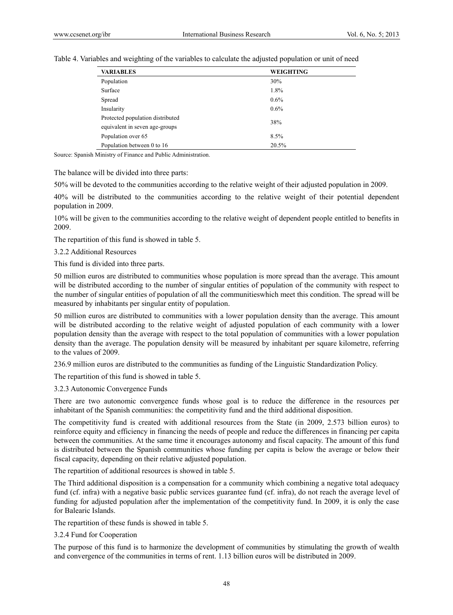Table 4. Variables and weighting of the variables to calculate the adjusted population or unit of need

| <b>VARIABLES</b>                                                   | <b>WEIGHTING</b> |
|--------------------------------------------------------------------|------------------|
| Population                                                         | 30%              |
| Surface                                                            | 1.8%             |
| Spread                                                             | $0.6\%$          |
| Insularity                                                         | $0.6\%$          |
| Protected population distributed<br>equivalent in seven age-groups | 38%              |
| Population over 65                                                 | 8.5%             |
| Population between 0 to 16                                         | 20.5%            |

Source: Spanish Ministry of Finance and Public Administration.

The balance will be divided into three parts:

50% will be devoted to the communities according to the relative weight of their adjusted population in 2009.

40% will be distributed to the communities according to the relative weight of their potential dependent population in 2009.

10% will be given to the communities according to the relative weight of dependent people entitled to benefits in 2009.

The repartition of this fund is showed in table 5.

3.2.2 Additional Resources

This fund is divided into three parts.

50 million euros are distributed to communities whose population is more spread than the average. This amount will be distributed according to the number of singular entities of population of the community with respect to the number of singular entities of population of all the communitieswhich meet this condition. The spread will be measured by inhabitants per singular entity of population.

50 million euros are distributed to communities with a lower population density than the average. This amount will be distributed according to the relative weight of adjusted population of each community with a lower population density than the average with respect to the total population of communities with a lower population density than the average. The population density will be measured by inhabitant per square kilometre, referring to the values of 2009.

236.9 million euros are distributed to the communities as funding of the Linguistic Standardization Policy.

The repartition of this fund is showed in table 5.

3.2.3 Autonomic Convergence Funds

There are two autonomic convergence funds whose goal is to reduce the difference in the resources per inhabitant of the Spanish communities: the competitivity fund and the third additional disposition.

The competitivity fund is created with additional resources from the State (in 2009, 2.573 billion euros) to reinforce equity and efficiency in financing the needs of people and reduce the differences in financing per capita between the communities. At the same time it encourages autonomy and fiscal capacity. The amount of this fund is distributed between the Spanish communities whose funding per capita is below the average or below their fiscal capacity, depending on their relative adjusted population.

The repartition of additional resources is showed in table 5.

The Third additional disposition is a compensation for a community which combining a negative total adequacy fund (cf. infra) with a negative basic public services guarantee fund (cf. infra), do not reach the average level of funding for adjusted population after the implementation of the competitivity fund. In 2009, it is only the case for Balearic Islands.

The repartition of these funds is showed in table 5.

3.2.4 Fund for Cooperation

The purpose of this fund is to harmonize the development of communities by stimulating the growth of wealth and convergence of the communities in terms of rent. 1.13 billion euros will be distributed in 2009.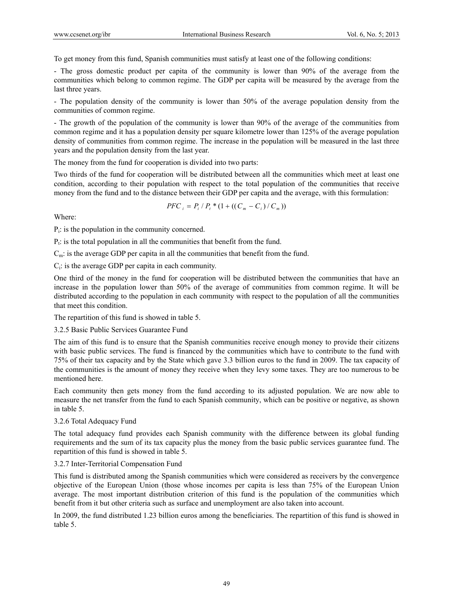To get money from this fund, Spanish communities must satisfy at least one of the following conditions:

- The gross domestic product per capita of the community is lower than 90% of the average from the communities which belong to common regime. The GDP per capita will be measured by the average from the last three years.

- The population density of the community is lower than 50% of the average population density from the communities of common regime.

- The growth of the population of the community is lower than 90% of the average of the communities from common regime and it has a population density per square kilometre lower than 125% of the average population density of communities from common regime. The increase in the population will be measured in the last three years and the population density from the last year.

The money from the fund for cooperation is divided into two parts:

Two thirds of the fund for cooperation will be distributed between all the communities which meet at least one condition, according to their population with respect to the total population of the communities that receive money from the fund and to the distance between their GDP per capita and the average, with this formulation:

$$
PFC_i = P_i / P_t * (1 + ((C_m - C_i) / C_m))
$$

Where:

Pi: is the population in the community concerned.

 $P_t$ : is the total population in all the communities that benefit from the fund.

 $C<sub>m</sub>$ : is the average GDP per capita in all the communities that benefit from the fund.

Ci: is the average GDP per capita in each community.

One third of the money in the fund for cooperation will be distributed between the communities that have an increase in the population lower than 50% of the average of communities from common regime. It will be distributed according to the population in each community with respect to the population of all the communities that meet this condition.

The repartition of this fund is showed in table 5.

3.2.5 Basic Public Services Guarantee Fund

The aim of this fund is to ensure that the Spanish communities receive enough money to provide their citizens with basic public services. The fund is financed by the communities which have to contribute to the fund with 75% of their tax capacity and by the State which gave 3.3 billion euros to the fund in 2009. The tax capacity of the communities is the amount of money they receive when they levy some taxes. They are too numerous to be mentioned here.

Each community then gets money from the fund according to its adjusted population. We are now able to measure the net transfer from the fund to each Spanish community, which can be positive or negative, as shown in table 5.

### 3.2.6 Total Adequacy Fund

The total adequacy fund provides each Spanish community with the difference between its global funding requirements and the sum of its tax capacity plus the money from the basic public services guarantee fund. The repartition of this fund is showed in table 5.

# 3.2.7 Inter-Territorial Compensation Fund

This fund is distributed among the Spanish communities which were considered as receivers by the convergence objective of the European Union (those whose incomes per capita is less than 75% of the European Union average. The most important distribution criterion of this fund is the population of the communities which benefit from it but other criteria such as surface and unemployment are also taken into account.

In 2009, the fund distributed 1.23 billion euros among the beneficiaries. The repartition of this fund is showed in table 5.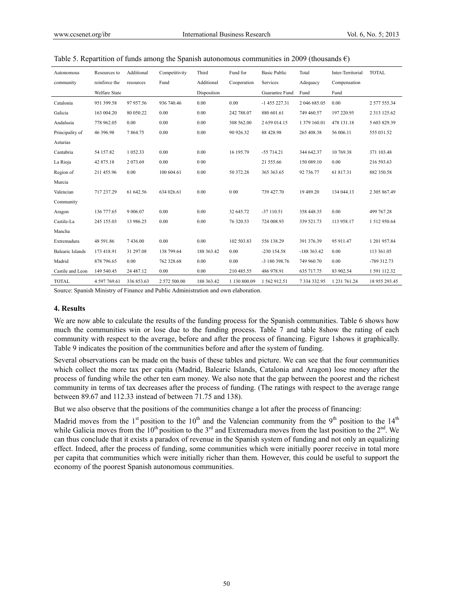| Autonomous              | Resources to         | Additional    | Competitivity | Third       | Fund for     | <b>Basic Public</b> | Total        | Inter-Territorial | <b>TOTAL</b>       |
|-------------------------|----------------------|---------------|---------------|-------------|--------------|---------------------|--------------|-------------------|--------------------|
| community               | reinforce the        | resources     | Fund          | Additional  | Cooperation  | Services            | Adequacy     | Compensation      |                    |
|                         | <b>Welfare State</b> |               |               | Disposition |              | Guarantee Fund      | Fund         | Fund              |                    |
| Catalonia               | 951 399.58           | 97 957.56     | 936 740.46    | 0.00        | 0.00         | $-1455227.31$       | 2 046 685.05 | 0.00              | 2 577 555.34       |
| Galicia                 | 163 004.20           | 80 050.22     | 0.00          | 0.00        | 242 788.07   | 880 601.61          | 749 460.57   | 197 220.95        | 2 3 1 3 1 2 5 .6 2 |
| Andalusia               | 778 962.05           | 0.00          | 0.00          | 0.00        | 308 562.00   | 2 659 014.15        | 1 379 160.01 | 478 131.18        | 5 603 829.39       |
| Principality of         | 46 396.98            | 7864.75       | 0.00          | 0.00        | 90 926.32    | 88 428.98           | 265 408.38   | 56 006.11         | 555 031.52         |
| Asturias                |                      |               |               |             |              |                     |              |                   |                    |
| Cantabria               | 54 157.82            | 1 0 5 2 . 3 3 | 0.00          | 0.00        | 16 195.79    | $-55714.21$         | 344 642.37   | 10 769.38         | 371 103.48         |
| La Rioja                | 42 875.18            | 2 0 7 3 . 6 9 | 0.00          | 000         |              | 21 555.66           | 150 089.10   | 0.00              | 216 593.63         |
| Region of               | 211 455.96           | 0.00          | 100 604.61    | 0.00        | 50 372.28    | 365 363.65          | 92 736.77    | 61 817.31         | 882 350.58         |
| Murcia                  |                      |               |               |             |              |                     |              |                   |                    |
| Valencian               | 717 237.29           | 61 642.56     | 634 026.61    | 0.00        | 000          | 739 427.70          | 19 489.20    | 134 044.13        | 2 305 867.49       |
| Community               |                      |               |               |             |              |                     |              |                   |                    |
| Aragon                  | 136 777.65           | 9 006.07      | 0.00          | 0.00        | 32 645.72    | $-37110.51$         | 358 448.35   | 0.00              | 499 767.28         |
| Castile-La              | 245 155.03           | 13 986.25     | 0.00          | 0.00        | 76 320.53    | 724 008.93          | 339 521.73   | 113 958.17        | 1 512 950.64       |
| Mancha                  |                      |               |               |             |              |                     |              |                   |                    |
| Extremadura             | 48 591.86            | 7436.00       | 0.00          | 0.00        | 102 503.83   | 556 138.29          | 391 376.39   | 95 911.47         | 1 201 957.84       |
| <b>Balearic Islands</b> | 173 418.91           | 31 297.08     | 138 799.64    | 188 363.42  | 0.00         | $-230154.58$        | $-188363.42$ | 0.00              | 113 361.05         |
| Madrid                  | 878 796.65           | 0.00          | 762 328.68    | 0.00        | 0.00         | -3 180 398.76       | 749 960.70   | 0.00              | -789 312.73        |
| Castile and Leon        | 149 540.45           | 24 487.12     | 0.00          | 0.00        | 210 485.55   | 486 978.91          | 635 717.75   | 83 902.54         | 1 591 112.32       |
| <b>TOTAL</b>            | 4 597 769.61         | 336 853.63    | 2 572 500.00  | 188 363.42  | 1 130 800.09 | 1 562 912.51        | 7334332.95   | 1 231 761.24      | 18 955 293.45      |

|  | Table 5. Repartition of funds among the Spanish autonomous communities in 2009 (thousands $\epsilon$ ) |  |
|--|--------------------------------------------------------------------------------------------------------|--|
|  |                                                                                                        |  |

Source: Spanish Ministry of Finance and Public Administration and own elaboration.

### **4. Results**

We are now able to calculate the results of the funding process for the Spanish communities. Table 6 shows how much the communities win or lose due to the funding process. Table 7 and table 8show the rating of each community with respect to the average, before and after the process of financing. Figure 1shows it graphically. Table 9 indicates the position of the communities before and after the system of funding.

Several observations can be made on the basis of these tables and picture. We can see that the four communities which collect the more tax per capita (Madrid, Balearic Islands, Catalonia and Aragon) lose money after the process of funding while the other ten earn money. We also note that the gap between the poorest and the richest community in terms of tax decreases after the process of funding. (The ratings with respect to the average range between 89.67 and 112.33 instead of between 71.75 and 138).

But we also observe that the positions of the communities change a lot after the process of financing:

Madrid moves from the 1<sup>st</sup> position to the 10<sup>th</sup> and the Valencian community from the 9<sup>th</sup> position to the 14<sup>th</sup> while Galicia moves from the 10<sup>th</sup> position to the 3<sup>rd</sup> and Extremadura moves from the last position to the 2<sup>nd</sup>. We can thus conclude that it exists a paradox of revenue in the Spanish system of funding and not only an equalizing effect. Indeed, after the process of funding, some communities which were initially poorer receive in total more per capita that communities which were initially richer than them. However, this could be useful to support the economy of the poorest Spanish autonomous communities.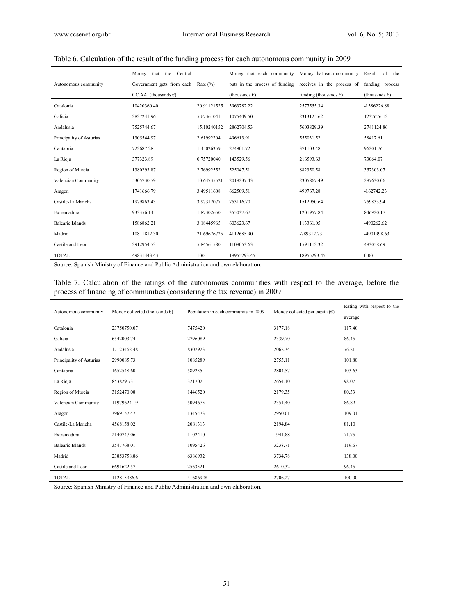|                          | that the<br>Central<br>Money     |              | Money that each community      | Money that each community       | Result of<br>the        |
|--------------------------|----------------------------------|--------------|--------------------------------|---------------------------------|-------------------------|
| Autonomous community     | Government gets from each        | Rate $(\% )$ | puts in the process of funding | receives in the process of      | funding process         |
|                          | $CC.AA.$ (thousands $\epsilon$ ) |              | (thousands $\epsilon$ )        | funding (thousands $\epsilon$ ) | (thousands $\epsilon$ ) |
| Catalonia                | 10420360.40                      | 20.91121525  | 3963782.22                     | 2577555.34                      | -1386226.88             |
| Galicia                  | 2827241.96                       | 5.67361041   | 1075449.50                     | 2313125.62                      | 1237676.12              |
| Andalusia                | 7525744.67                       | 15.10240152  | 2862704.53                     | 5603829.39                      | 2741124.86              |
| Principality of Asturias | 1305544.97                       | 2.61992204   | 496613.91                      | 555031.52                       | 58417.61                |
| Cantabria                | 722687.28                        | 1.45026359   | 274901.72                      | 371103.48                       | 96201.76                |
| La Rioja                 | 377323.89                        | 0.75720040   | 143529.56                      | 216593.63                       | 73064.07                |
| Region of Murcia         | 1380293.87                       | 2.76992552   | 525047.51                      | 882350.58                       | 357303.07               |
| Valencian Community      | 5305730.79                       | 10.64735521  | 2018237.43                     | 2305867.49                      | 287630.06               |
| Aragon                   | 1741666.79                       | 3.49511608   | 662509.51                      | 499767.28                       | $-162742.23$            |
| Castile-La Mancha        | 1979863.43                       | 3.97312077   | 753116.70                      | 1512950.64                      | 759833.94               |
| Extremadura              | 933356.14                        | 1.87302650   | 355037.67                      | 1201957.84                      | 846920.17               |
| <b>Balearic Islands</b>  | 1586862.21                       | 3.18445965   | 603623.67                      | 113361.05                       | $-490262.62$            |
| Madrid                   | 10811812.30                      | 21.69676725  | 4112685.90                     | -789312.73                      | -4901998.63             |
| Castile and Leon         | 2912954.73                       | 5.84561580   | 1108053.63                     | 1591112.32                      | 483058.69               |
| <b>TOTAL</b>             | 49831443.43                      | 100          | 18955293.45                    | 18955293.45                     | 0.00                    |

# Table 6. Calculation of the result of the funding process for each autonomous community in 2009

Source: Spanish Ministry of Finance and Public Administration and own elaboration.

| Table 7. Calculation of the ratings of the autonomous communities with respect to the average, before the |  |  |  |  |  |  |
|-----------------------------------------------------------------------------------------------------------|--|--|--|--|--|--|
| process of financing of communities (considering the tax revenue) in 2009                                 |  |  |  |  |  |  |

| Autonomous community     | Money collected (thousands $\epsilon$ ) | Population in each community in 2009 | Money collected per capita $(\epsilon)$ | Rating with respect to the |
|--------------------------|-----------------------------------------|--------------------------------------|-----------------------------------------|----------------------------|
|                          |                                         |                                      |                                         | average                    |
| Catalonia                | 23750750.07                             | 7475420                              | 3177.18                                 | 117.40                     |
| Galicia                  | 6542003.74                              | 2796089                              | 2339.70                                 | 86.45                      |
| Andalusia                | 17123462.48                             | 8302923                              | 2062.34                                 | 76.21                      |
| Principality of Asturias | 2990085.73                              | 1085289                              | 2755.11                                 | 101.80                     |
| Cantabria                | 1652548.60                              | 589235                               | 2804.57                                 | 103.63                     |
| La Rioja                 | 853829.73                               | 321702                               | 2654.10                                 | 98.07                      |
| Region of Murcia         | 3152470.08                              | 1446520                              | 2179.35                                 | 80.53                      |
| Valencian Community      | 11979624.19                             | 5094675                              | 2351.40                                 | 86.89                      |
| Aragon                   | 3969157.47                              | 1345473                              | 2950.01                                 | 109.01                     |
| Castile-La Mancha        | 4568158.02                              | 2081313                              | 2194.84                                 | 81.10                      |
| Extremadura              | 2140747.06                              | 1102410                              | 1941.88                                 | 71.75                      |
| <b>Balearic Islands</b>  | 3547768.01                              | 1095426                              | 3238.71                                 | 119.67                     |
| Madrid                   | 23853758.86                             | 6386932                              | 3734.78                                 | 138.00                     |
| Castile and Leon         | 6691622.57                              | 2563521                              | 2610.32                                 | 96.45                      |
| <b>TOTAL</b>             | 112815986.61                            | 41686928                             | 2706.27                                 | 100.00                     |

Source: Spanish Ministry of Finance and Public Administration and own elaboration.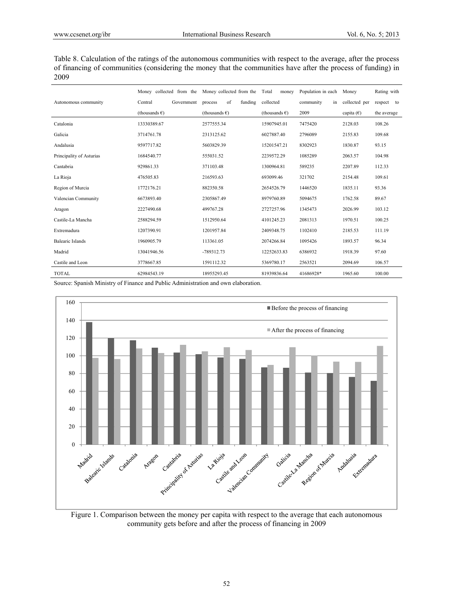Table 8. Calculation of the ratings of the autonomous communities with respect to the average, after the process of financing of communities (considering the money that the communities have after the process of funding) in 2009

|                          | Money collected from the Money collected from the Total |                          | money                   | Population in each | Money         | Rating with |
|--------------------------|---------------------------------------------------------|--------------------------|-------------------------|--------------------|---------------|-------------|
| Autonomous community     | Central<br>Government                                   | of<br>funding<br>process | collected               | community<br>in    | collected per | respect to  |
|                          | (thousands $\epsilon$ )                                 | (thousands $\epsilon$ )  | (thousands $\epsilon$ ) | 2009               | capita $(E)$  | the average |
| Catalonia                | 13330389.67                                             | 2577555.34               | 15907945.01             | 7475420            | 2128.03       | 108.26      |
| Galicia                  | 3714761.78                                              | 2313125.62               | 6027887.40              | 2796089            | 2155.83       | 109.68      |
| Andalusia                | 9597717.82                                              | 5603829.39               | 15201547.21             | 8302923            | 1830.87       | 93.15       |
| Principality of Asturias | 1684540.77                                              | 555031.52                | 2239572.29              | 1085289            | 2063.57       | 104.98      |
| Cantabria                | 929861.33                                               | 371103.48                | 1300964.81              | 589235             | 2207.89       | 112.33      |
| La Rioja                 | 476505.83                                               | 216593.63                | 693099.46               | 321702             | 2154.48       | 109.61      |
| Region of Murcia         | 1772176.21                                              | 882350.58                | 2654526.79              | 1446520            | 1835.11       | 93.36       |
| Valencian Community      | 6673893.40                                              | 2305867.49               | 8979760.89              | 5094675            | 1762.58       | 89.67       |
| Aragon                   | 2227490.68                                              | 499767.28                | 2727257.96              | 1345473            | 2026.99       | 103.12      |
| Castile-La Mancha        | 2588294.59                                              | 1512950.64               | 4101245.23              | 2081313            | 1970.51       | 100.25      |
| Extremadura              | 1207390.91                                              | 1201957.84               | 2409348.75              | 1102410            | 2185.53       | 111.19      |
| <b>Balearic Islands</b>  | 1960905.79                                              | 113361.05                | 2074266.84              | 1095426            | 1893.57       | 96.34       |
| Madrid                   | 13041946.56                                             | -789312.73               | 12252633.83             | 6386932            | 1918.39       | 97.60       |
| Castile and Leon         | 3778667.85                                              | 1591112.32               | 5369780.17              | 2563521            | 2094.69       | 106.57      |
| <b>TOTAL</b>             | 62984543.19                                             | 18955293.45              | 81939836.64             | 41686928*          | 1965.60       | 100.00      |

Source: Spanish Ministry of Finance and Public Administration and own elaboration.



Figure 1. Comparison between the money per capita with respect to the average that each autonomous community gets before and after the process of financing in 2009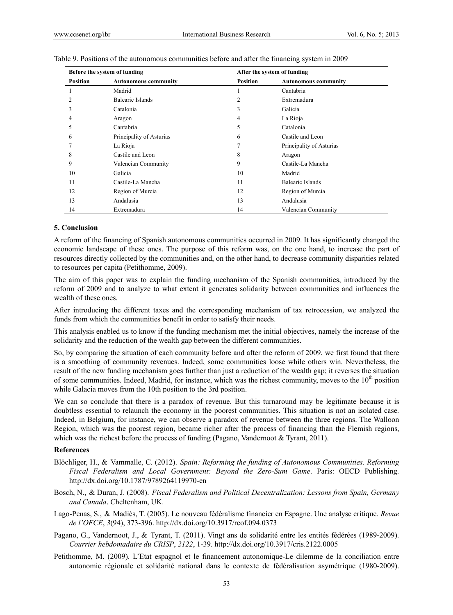|                 | Before the system of funding |                 | After the system of funding |
|-----------------|------------------------------|-----------------|-----------------------------|
| <b>Position</b> | <b>Autonomous community</b>  | <b>Position</b> | <b>Autonomous community</b> |
|                 | Madrid                       |                 | Cantabria                   |
|                 | Balearic Islands             | 2               | Extremadura                 |
|                 | Catalonia                    | 3               | Galicia                     |
|                 | Aragon                       | 4               | La Rioja                    |
|                 | Cantabria                    | 5               | Catalonia                   |
| 6               | Principality of Asturias     | 6               | Castile and Leon            |
|                 | La Rioja                     | 7               | Principality of Asturias    |
| 8               | Castile and Leon             | 8               | Aragon                      |
| 9               | Valencian Community          | 9               | Castile-La Mancha           |
| 10              | Galicia                      | 10              | Madrid                      |
| 11              | Castile-La Mancha            | 11              | Balearic Islands            |
| 12              | Region of Murcia             | 12              | Region of Murcia            |
| 13              | Andalusia                    | 13              | Andalusia                   |
| 14              | Extremadura                  | 14              | Valencian Community         |

Table 9. Positions of the autonomous communities before and after the financing system in 2009

### **5. Conclusion**

A reform of the financing of Spanish autonomous communities occurred in 2009. It has significantly changed the economic landscape of these ones. The purpose of this reform was, on the one hand, to increase the part of resources directly collected by the communities and, on the other hand, to decrease community disparities related to resources per capita (Petithomme, 2009).

The aim of this paper was to explain the funding mechanism of the Spanish communities, introduced by the reform of 2009 and to analyze to what extent it generates solidarity between communities and influences the wealth of these ones.

After introducing the different taxes and the corresponding mechanism of tax retrocession, we analyzed the funds from which the communities benefit in order to satisfy their needs.

This analysis enabled us to know if the funding mechanism met the initial objectives, namely the increase of the solidarity and the reduction of the wealth gap between the different communities.

So, by comparing the situation of each community before and after the reform of 2009, we first found that there is a smoothing of community revenues. Indeed, some communities loose while others win. Nevertheless, the result of the new funding mechanism goes further than just a reduction of the wealth gap; it reverses the situation of some communities. Indeed, Madrid, for instance, which was the richest community, moves to the  $10<sup>th</sup>$  position while Galacia moves from the 10th position to the 3rd position.

We can so conclude that there is a paradox of revenue. But this turnaround may be legitimate because it is doubtless essential to relaunch the economy in the poorest communities. This situation is not an isolated case. Indeed, in Belgium, for instance, we can observe a paradox of revenue between the three regions. The Walloon Region, which was the poorest region, became richer after the process of financing than the Flemish regions, which was the richest before the process of funding (Pagano, Vandernoot & Tyrant, 2011).

### **References**

- Blöchliger, H., & Vammalle, C. (2012). *Spain: Reforming the funding of Autonomous Communities*. *Reforming Fiscal Federalism and Local Government: Beyond the Zero-Sum Game*. Paris: OECD Publishing. http://dx.doi.org/10.1787/9789264119970-en
- Bosch, N., & Duran, J. (2008). *Fiscal Federalism and Political Decentralization: Lessons from Spain, Germany and Canada*. Cheltenham, UK.
- Lago-Penas, S., & Madiès, T. (2005). Le nouveau fédéralisme financier en Espagne. Une analyse critique. *Revue de l'OFCE*, *3*(94), 373-396. http://dx.doi.org/10.3917/reof.094.0373
- Pagano, G., Vandernoot, J., & Tyrant, T. (2011). Vingt ans de solidarité entre les entités fédérées (1989-2009). *Courrier hebdomadaire du CRISP*, *2122*, 1-39. http://dx.doi.org/10.3917/cris.2122.0005
- Petithomme, M. (2009). L'Etat espagnol et le financement autonomique-Le dilemme de la conciliation entre autonomie régionale et solidarité national dans le contexte de fédéralisation asymétrique (1980-2009).